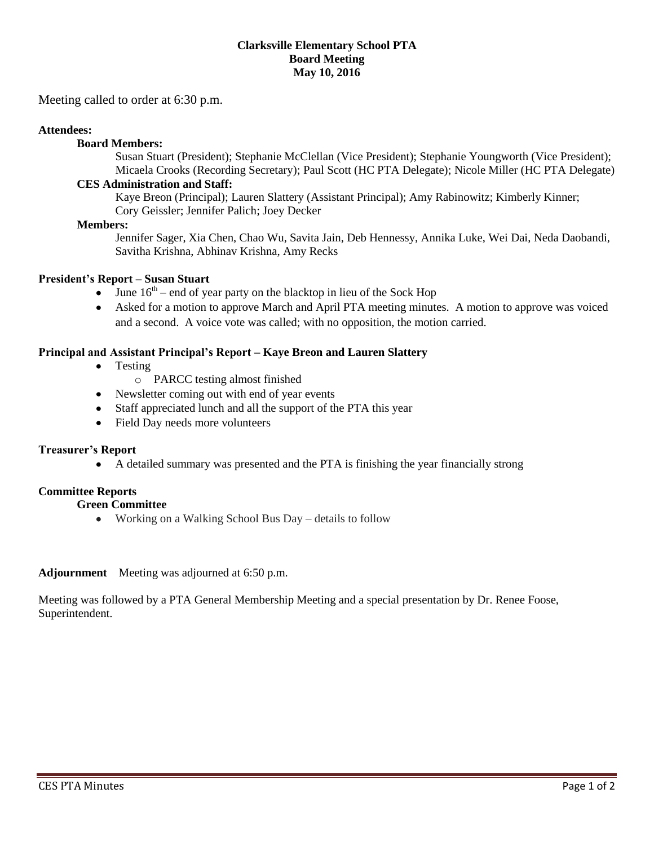#### **Clarksville Elementary School PTA Board Meeting May 10, 2016**

Meeting called to order at 6:30 p.m.

## **Attendees:**

## **Board Members:**

Susan Stuart (President); Stephanie McClellan (Vice President); Stephanie Youngworth (Vice President); Micaela Crooks (Recording Secretary); Paul Scott (HC PTA Delegate); Nicole Miller (HC PTA Delegate)

## **CES Administration and Staff:**

Kaye Breon (Principal); Lauren Slattery (Assistant Principal); Amy Rabinowitz; Kimberly Kinner; Cory Geissler; Jennifer Palich; Joey Decker

### **Members:**

Jennifer Sager, Xia Chen, Chao Wu, Savita Jain, Deb Hennessy, Annika Luke, Wei Dai, Neda Daobandi, Savitha Krishna, Abhinav Krishna, Amy Recks

## **President's Report – Susan Stuart**

- June  $16<sup>th</sup>$  end of year party on the blacktop in lieu of the Sock Hop
- Asked for a motion to approve March and April PTA meeting minutes. A motion to approve was voiced and a second. A voice vote was called; with no opposition, the motion carried.

## **Principal and Assistant Principal's Report – Kaye Breon and Lauren Slattery**

- Testing
	- o PARCC testing almost finished
- Newsletter coming out with end of year events
- Staff appreciated lunch and all the support of the PTA this year
- Field Day needs more volunteers

### **Treasurer's Report**

A detailed summary was presented and the PTA is finishing the year financially strong

### **Committee Reports**

### **Green Committee**

Working on a Walking School Bus Day – details to follow

**Adjournment** Meeting was adjourned at 6:50 p.m.

Meeting was followed by a PTA General Membership Meeting and a special presentation by Dr. Renee Foose, Superintendent.